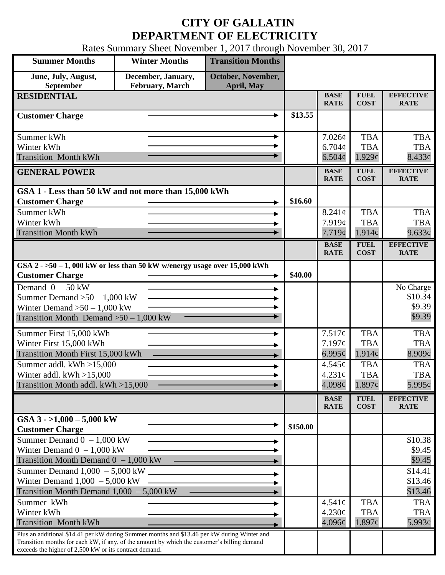## **CITY OF GALLATIN DEPARTMENT OF ELECTRICITY**

Rates Summary Sheet November 1, 2017 through November 30, 2017

| <b>Summer Months</b>                                                                                                                                                                                                                                 | <b>Winter Months</b>                  | <b>Transition Months</b>         |          |                                          |                                                |                                            |
|------------------------------------------------------------------------------------------------------------------------------------------------------------------------------------------------------------------------------------------------------|---------------------------------------|----------------------------------|----------|------------------------------------------|------------------------------------------------|--------------------------------------------|
| June, July, August,<br>September                                                                                                                                                                                                                     | December, January,<br>February, March | October, November,<br>April, May |          |                                          |                                                |                                            |
| <b>RESIDENTIAL</b>                                                                                                                                                                                                                                   |                                       |                                  |          | <b>BASE</b><br><b>RATE</b>               | <b>FUEL</b><br><b>COST</b>                     | <b>EFFECTIVE</b><br><b>RATE</b>            |
| <b>Customer Charge</b>                                                                                                                                                                                                                               |                                       |                                  | \$13.55  |                                          |                                                |                                            |
| Summer kWh<br>Winter kWh<br><b>Transition Month kWh</b>                                                                                                                                                                                              |                                       |                                  |          | 7.026c<br>6.704c<br>$6.504\phi$          | <b>TBA</b><br><b>TBA</b><br>$1.929\mathcal{C}$ | <b>TBA</b><br><b>TBA</b><br>$8.433\phi$    |
| <b>GENERAL POWER</b>                                                                                                                                                                                                                                 |                                       |                                  |          | <b>BASE</b><br><b>RATE</b>               | <b>FUEL</b><br><b>COST</b>                     | <b>EFFECTIVE</b><br><b>RATE</b>            |
| GSA 1 - Less than 50 kW and not more than 15,000 kWh<br><b>Customer Charge</b><br>Summer kWh                                                                                                                                                         |                                       |                                  |          | $8.241\mathrm{c}$                        | <b>TBA</b>                                     | <b>TBA</b>                                 |
| Winter kWh<br><b>Transition Month kWh</b>                                                                                                                                                                                                            |                                       |                                  |          | 7.919c<br>7.719¢                         | <b>TBA</b><br>1.914c                           | <b>TBA</b><br>9.633¢                       |
|                                                                                                                                                                                                                                                      |                                       |                                  |          | <b>BASE</b><br><b>RATE</b>               | <b>FUEL</b><br><b>COST</b>                     | <b>EFFECTIVE</b><br><b>RATE</b>            |
| GSA $2 - 50 - 1$ , 000 kW or less than 50 kW w/energy usage over 15,000 kWh<br><b>Customer Charge</b>                                                                                                                                                |                                       |                                  |          |                                          |                                                |                                            |
| Demand $0 - 50$ kW<br>Summer Demand $>50 - 1,000$ kW<br>Winter Demand $>50 - 1,000$ kW<br>Transition Month Demand $>50-1,000$ kW                                                                                                                     |                                       |                                  |          |                                          |                                                | No Charge<br>\$10.34<br>\$9.39<br>\$9.39   |
| Summer First 15,000 kWh<br>Winter First 15,000 kWh<br><b>Transition Month First 15,000 kWh</b>                                                                                                                                                       |                                       |                                  |          | 7.517¢<br>7.197¢<br>6.995 $\mathfrak{e}$ | <b>TBA</b><br><b>TBA</b><br>$1.914\phi$        | <b>TBA</b><br><b>TBA</b><br>8.909¢         |
| Summer addl. kWh >15,000<br>Winter addl. $kWh > 15,000$<br>Transition Month addl. kWh >15,000                                                                                                                                                        |                                       |                                  |          | $4.545\ell$<br>$4.231\text{¢}$<br>4.098¢ | <b>TBA</b><br><b>TBA</b><br>$1.897\phi$        | <b>TBA</b><br><b>TBA</b><br>$5.995\varphi$ |
|                                                                                                                                                                                                                                                      |                                       |                                  |          | <b>BASE</b><br><b>RATE</b>               | <b>FUEL</b><br><b>COST</b>                     | <b>EFFECTIVE</b><br><b>RATE</b>            |
| GSA $3 - 1,000 - 5,000$ kW<br><b>Customer Charge</b>                                                                                                                                                                                                 |                                       |                                  | \$150.00 |                                          |                                                |                                            |
| Summer Demand $0 - 1,000$ kW<br>Winter Demand $0 - 1,000$ kW<br>Transition Month Demand $0 - 1,000$ kW                                                                                                                                               |                                       |                                  |          |                                          |                                                | \$10.38<br>\$9.45<br>\$9.45                |
| Summer Demand $1,000 - 5,000$ kW $\Box$<br>Winter Demand $1,000 - 5,000$ kW<br>Transition Month Demand $1,000 - 5,000$ kW                                                                                                                            |                                       |                                  |          |                                          |                                                | \$14.41<br>\$13.46<br>\$13.46              |
| Summer kWh<br>Winter kWh<br><b>Transition Month kWh</b>                                                                                                                                                                                              |                                       |                                  |          | $4.541\phi$<br>4.230¢<br>4.096¢          | <b>TBA</b><br><b>TBA</b><br>$1.897\epsilon$    | <b>TBA</b><br><b>TBA</b><br>$5.993\phi$    |
| Plus an additional \$14.41 per kW during Summer months and \$13.46 per kW during Winter and<br>Transition months for each kW, if any, of the amount by which the customer's billing demand<br>exceeds the higher of 2,500 kW or its contract demand. |                                       |                                  |          |                                          |                                                |                                            |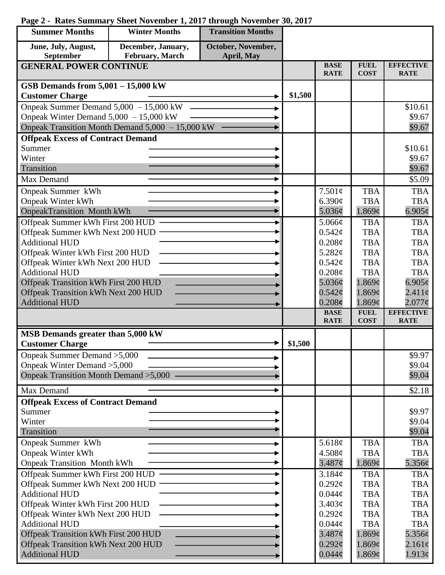## **Summer Months Winter Months Transition Months June, July, August, December, January, October, November, September February, March April, May GENERAL POWER CONTINUE BASE FUEL EFFECTIVE RATE COST RATE GSB Demands from 5,001 – 15,000 kW Customer Charge 2014 Customer Charge** 201500 Onpeak Summer Demand 5,000 – 15,000 kW \$10.61 Onpeak Winter Demand 5,000 – 15,000 kW \$9.67 ь Onpeak Transition Month Demand 5,000 – 15,000 kW \$9.67 **Offpeak Excess of Contract Demand** Summer \$10.61 Winter \$9.67 \$9.67 Transition Max Demand  $\qquad \qquad \longrightarrow \qquad$  \$5.09 Onpeak Summer kWh 7.501¢ TBA TBA Onpeak Winter kWh 6.390¢ TBA **TBA** OnpeakTransition Month kWh 1.869¢  $6.905\text{c}$ 5.036¢ Offpeak Summer kWh First 200 HUD **TBA** ь 5.066¢ TBA Offpeak Summer kWh Next 200 HUD  $0.542\epsilon$ TBA TBA Additional HUD  $0.208\mathcal{C}$ TBA TBA Offpeak Winter kWh First 200 HUD 5.282¢ TBA TBA Offpeak Winter kWh Next 200 HUD  $0.542\text{c}$ TBA TBA Additional HUD TBA  $0.208<sub>c</sub>$ TBA Offpeak Transition kWh First 200 HUD 5.036¢ 1.869¢  $6.905\text{c}$ Offpeak Transition kWh Next 200 HUD  $0.542\mathcal{C}$ 1.869¢  $2.411\ell$ 1.869¢ Additional HUD 0.208**¢**  $2.077<sub>\mathcal{C}</sub>$ **FUEL BASE EFFECTIVE RATE COST RATE MSB Demands greater than 5,000 kW** Customer Charge  $\qquad \qquad \longrightarrow \qquad \qquad$  \$1,500 Onpeak Summer Demand >5,000 \$9.97 Onpeak Winter Demand >5,000 \$9.04 Onpeak Transition Month Demand >5,000 \$9.04 Max Demand  $\sim$   $\sim$  \$2.18 **Offpeak Excess of Contract Demand** Summer \$9.97 Winter \$9.04 Transition \$9.04 Onpeak Summer kWh TBA TBA 5.618¢ Onpeak Winter kWh 4.508¢ TBA TBA Onpeak Transition Month kWh 3.487¢ 1.869¢ 5.356¢ Offpeak Summer kWh First 200 HUD

3.184¢  $0.292\text{c}$  $0.044\mathcal{C}$  $3.403<sub>c</sub>$  $0.292\text{c}$  $0.044c$ 3.487¢  $0.292<sub>\mathcal{C}</sub>$  $0.044\mathcal{C}$ 

TBA TBA TBA TBA **TBA** TBA 1.869¢ 1.869¢ 1.869¢

**TBA** TBA TBA TBA **TBA** TBA 5.356¢  $2.161¢$ 1.913¢

## **Page 2 - Rates Summary Sheet November 1, 2017 through November 30, 2017**

Offpeak Summer kWh Next 200 HUD

Offpeak Winter kWh First 200 HUD Offpeak Winter kWh Next 200 HUD

Offpeak Transition kWh First 200 HUD Offpeak Transition kWh Next 200 HUD

Additional HUD

Additional HUD

Additional HUD